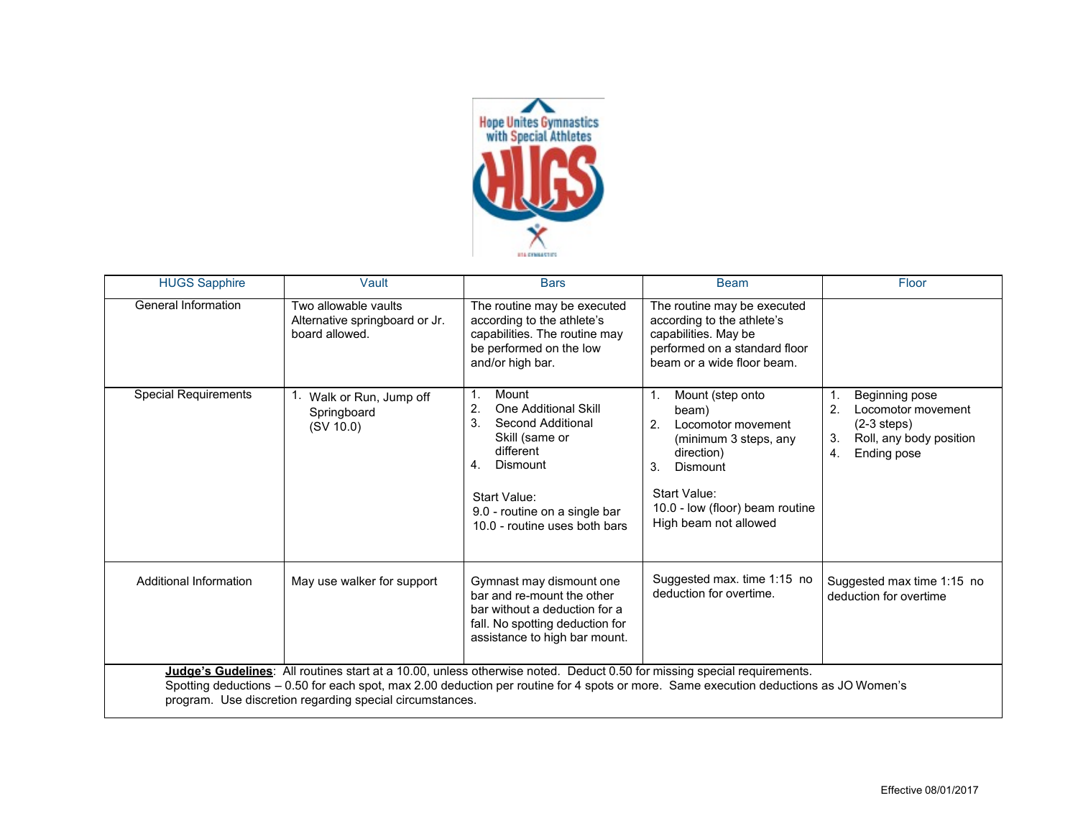

| <b>HUGS Sapphire</b>                                                                                                                                                                                                                                                                                                         | Vault                                                                    | <b>Bars</b>                                                                                                                                                                                                                | <b>Beam</b>                                                                                                                                                                                                  | Floor                                                                                                             |
|------------------------------------------------------------------------------------------------------------------------------------------------------------------------------------------------------------------------------------------------------------------------------------------------------------------------------|--------------------------------------------------------------------------|----------------------------------------------------------------------------------------------------------------------------------------------------------------------------------------------------------------------------|--------------------------------------------------------------------------------------------------------------------------------------------------------------------------------------------------------------|-------------------------------------------------------------------------------------------------------------------|
| General Information                                                                                                                                                                                                                                                                                                          | Two allowable vaults<br>Alternative springboard or Jr.<br>board allowed. | The routine may be executed<br>according to the athlete's<br>capabilities. The routine may<br>be performed on the low<br>and/or high bar.                                                                                  | The routine may be executed<br>according to the athlete's<br>capabilities. May be<br>performed on a standard floor<br>beam or a wide floor beam.                                                             |                                                                                                                   |
| <b>Special Requirements</b>                                                                                                                                                                                                                                                                                                  | Walk or Run, Jump off<br>Springboard<br>(SV 10.0)                        | Mount<br>1.<br>2.<br>One Additional Skill<br>3.<br>Second Additional<br>Skill (same or<br>different<br>$\mathbf{4}$ .<br>Dismount<br><b>Start Value:</b><br>9.0 - routine on a single bar<br>10.0 - routine uses both bars | $\mathbf{1}$ .<br>Mount (step onto<br>beam)<br>2.<br>Locomotor movement<br>(minimum 3 steps, any<br>direction)<br>3.<br>Dismount<br>Start Value:<br>10.0 - low (floor) beam routine<br>High beam not allowed | Beginning pose<br>2.<br>Locomotor movement<br>$(2-3$ steps)<br>3.<br>Roll, any body position<br>Ending pose<br>4. |
| Additional Information                                                                                                                                                                                                                                                                                                       | May use walker for support                                               | Gymnast may dismount one<br>bar and re-mount the other<br>bar without a deduction for a<br>fall. No spotting deduction for<br>assistance to high bar mount.                                                                | Suggested max. time 1:15 no<br>deduction for overtime.                                                                                                                                                       | Suggested max time 1:15 no<br>deduction for overtime                                                              |
| Judge's Gudelines: All routines start at a 10.00, unless otherwise noted. Deduct 0.50 for missing special requirements.<br>Spotting deductions – 0.50 for each spot, max 2.00 deduction per routine for 4 spots or more. Same execution deductions as JO Women's<br>program. Use discretion regarding special circumstances. |                                                                          |                                                                                                                                                                                                                            |                                                                                                                                                                                                              |                                                                                                                   |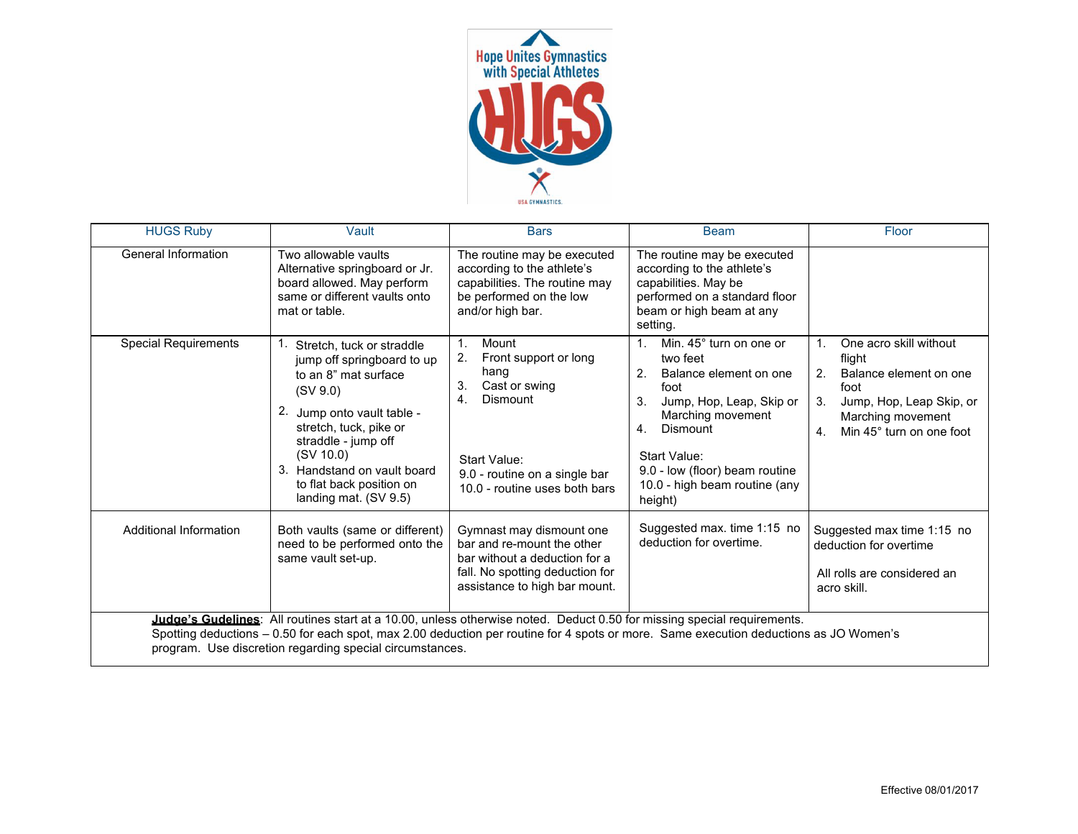

| <b>HUGS Ruby</b>                                                                                                                                                                                                                                                                                                             | Vault                                                                                                                                                                                                                                                                       | <b>Bars</b>                                                                                                                                                                                      | <b>Beam</b>                                                                                                                                                                                                                                                          | Floor                                                                                                                                                                        |
|------------------------------------------------------------------------------------------------------------------------------------------------------------------------------------------------------------------------------------------------------------------------------------------------------------------------------|-----------------------------------------------------------------------------------------------------------------------------------------------------------------------------------------------------------------------------------------------------------------------------|--------------------------------------------------------------------------------------------------------------------------------------------------------------------------------------------------|----------------------------------------------------------------------------------------------------------------------------------------------------------------------------------------------------------------------------------------------------------------------|------------------------------------------------------------------------------------------------------------------------------------------------------------------------------|
| <b>General Information</b>                                                                                                                                                                                                                                                                                                   | Two allowable vaults<br>Alternative springboard or Jr.<br>board allowed. May perform<br>same or different vaults onto<br>mat or table.                                                                                                                                      | The routine may be executed<br>according to the athlete's<br>capabilities. The routine may<br>be performed on the low<br>and/or high bar.                                                        | The routine may be executed<br>according to the athlete's<br>capabilities. May be<br>performed on a standard floor<br>beam or high beam at any<br>setting.                                                                                                           |                                                                                                                                                                              |
| <b>Special Requirements</b>                                                                                                                                                                                                                                                                                                  | Stretch, tuck or straddle<br>jump off springboard to up<br>to an 8" mat surface<br>(SV 9.0)<br>2. Jump onto vault table -<br>stretch, tuck, pike or<br>straddle - jump off<br>(SV 10.0)<br>3. Handstand on vault board<br>to flat back position on<br>landing mat. (SV 9.5) | Mount<br>$\mathbf{1}$ .<br>2.<br>Front support or long<br>hang<br>3.<br>Cast or swing<br><b>Dismount</b><br>4.<br>Start Value:<br>9.0 - routine on a single bar<br>10.0 - routine uses both bars | Min. 45° turn on one or<br>$\mathbf{1}$ .<br>two feet<br>2.<br>Balance element on one<br>foot<br>Jump, Hop, Leap, Skip or<br>3.<br>Marching movement<br>Dismount<br>4.<br>Start Value:<br>9.0 - low (floor) beam routine<br>10.0 - high beam routine (any<br>height) | One acro skill without<br>flight<br>2 <sup>1</sup><br>Balance element on one<br>foot<br>3.<br>Jump, Hop, Leap Skip, or<br>Marching movement<br>Min 45° turn on one foot<br>4 |
| Additional Information                                                                                                                                                                                                                                                                                                       | Both vaults (same or different)<br>need to be performed onto the<br>same vault set-up.                                                                                                                                                                                      | Gymnast may dismount one<br>bar and re-mount the other<br>bar without a deduction for a<br>fall. No spotting deduction for<br>assistance to high bar mount.                                      | Suggested max. time 1:15 no<br>deduction for overtime.                                                                                                                                                                                                               | Suggested max time 1:15 no<br>deduction for overtime<br>All rolls are considered an<br>acro skill.                                                                           |
| Judge's Gudelines: All routines start at a 10.00, unless otherwise noted. Deduct 0.50 for missing special requirements.<br>Spotting deductions - 0.50 for each spot, max 2.00 deduction per routine for 4 spots or more. Same execution deductions as JO Women's<br>program. Use discretion regarding special circumstances. |                                                                                                                                                                                                                                                                             |                                                                                                                                                                                                  |                                                                                                                                                                                                                                                                      |                                                                                                                                                                              |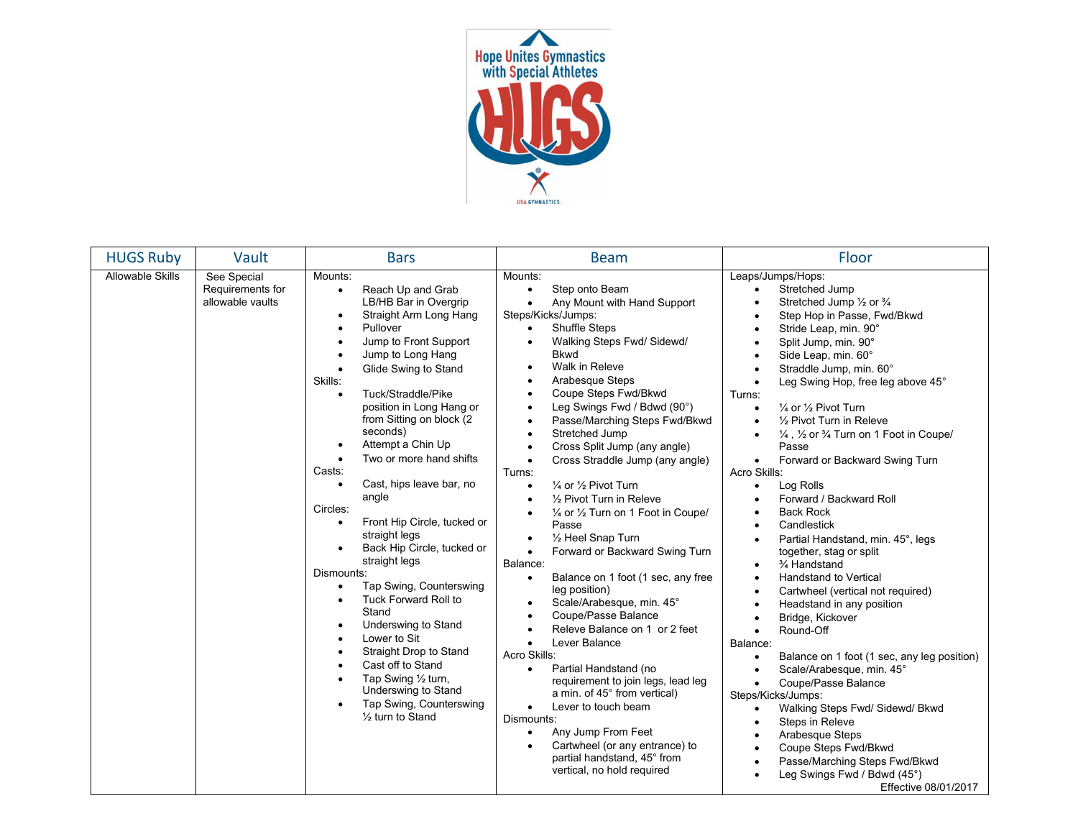

| <b>HUGS Ruby</b>        | Vault                                               | <b>Bars</b>                                                                                                                                                                                                                                                                                                                                                                                                                                                                                                                                                                                                                                                                                                                                                                                                                                                                                                                          | <b>Beam</b>                                                                                                                                                                                                                                                                                                                                                                                                                                                                                                                                                                                                                                                                                                                                                                                                                                                                                                                                                                                                                                                                                                                                                                                                                                                                                                                                      | Floor                                                                                                                                                                                                                                                                                                                                                                                                                                                                                                                                                                                                                                                                                                                                                                                                                                                                                                                                                                                                                                                                                                                                                                                                                                                                                                                                               |
|-------------------------|-----------------------------------------------------|--------------------------------------------------------------------------------------------------------------------------------------------------------------------------------------------------------------------------------------------------------------------------------------------------------------------------------------------------------------------------------------------------------------------------------------------------------------------------------------------------------------------------------------------------------------------------------------------------------------------------------------------------------------------------------------------------------------------------------------------------------------------------------------------------------------------------------------------------------------------------------------------------------------------------------------|--------------------------------------------------------------------------------------------------------------------------------------------------------------------------------------------------------------------------------------------------------------------------------------------------------------------------------------------------------------------------------------------------------------------------------------------------------------------------------------------------------------------------------------------------------------------------------------------------------------------------------------------------------------------------------------------------------------------------------------------------------------------------------------------------------------------------------------------------------------------------------------------------------------------------------------------------------------------------------------------------------------------------------------------------------------------------------------------------------------------------------------------------------------------------------------------------------------------------------------------------------------------------------------------------------------------------------------------------|-----------------------------------------------------------------------------------------------------------------------------------------------------------------------------------------------------------------------------------------------------------------------------------------------------------------------------------------------------------------------------------------------------------------------------------------------------------------------------------------------------------------------------------------------------------------------------------------------------------------------------------------------------------------------------------------------------------------------------------------------------------------------------------------------------------------------------------------------------------------------------------------------------------------------------------------------------------------------------------------------------------------------------------------------------------------------------------------------------------------------------------------------------------------------------------------------------------------------------------------------------------------------------------------------------------------------------------------------------|
| <b>Allowable Skills</b> | See Special<br>Requirements for<br>allowable vaults | Mounts:<br>Reach Up and Grab<br>$\bullet$<br>LB/HB Bar in Overgrip<br>Straight Arm Long Hang<br>$\bullet$<br>Pullover<br>$\bullet$<br>Jump to Front Support<br>$\bullet$<br>Jump to Long Hang<br>Glide Swing to Stand<br>Skills:<br>Tuck/Straddle/Pike<br>$\bullet$<br>position in Long Hang or<br>from Sitting on block (2)<br>seconds)<br>Attempt a Chin Up<br>$\bullet$<br>Two or more hand shifts<br>$\bullet$<br>Casts:<br>Cast, hips leave bar, no<br>$\bullet$<br>angle<br>Circles:<br>Front Hip Circle, tucked or<br>$\bullet$<br>straight legs<br>Back Hip Circle, tucked or<br>$\bullet$<br>straight legs<br>Dismounts:<br>Tap Swing, Counterswing<br>$\bullet$<br><b>Tuck Forward Roll to</b><br>$\bullet$<br>Stand<br>Underswing to Stand<br>٠<br>Lower to Sit<br>Straight Drop to Stand<br>Cast off to Stand<br>Tap Swing 1/2 turn,<br>Underswing to Stand<br>Tap Swing, Counterswing<br>$\bullet$<br>1/2 turn to Stand | Mounts:<br>Step onto Beam<br>$\bullet$<br>Any Mount with Hand Support<br>$\bullet$<br>Steps/Kicks/Jumps:<br><b>Shuffle Steps</b><br>$\bullet$<br>Walking Steps Fwd/ Sidewd/<br>$\bullet$<br><b>Bkwd</b><br>Walk in Releve<br>$\bullet$<br>Arabesque Steps<br>$\bullet$<br>Coupe Steps Fwd/Bkwd<br>$\bullet$<br>Leg Swings Fwd / Bdwd (90°)<br>$\bullet$<br>Passe/Marching Steps Fwd/Bkwd<br>$\bullet$<br>Stretched Jump<br>$\bullet$<br>Cross Split Jump (any angle)<br>$\bullet$<br>Cross Straddle Jump (any angle)<br>$\bullet$<br>Turns:<br>1/4 or 1/2 Pivot Turn<br>$\bullet$<br>1/2 Pivot Turn in Releve<br>$\bullet$<br>1/4 or 1/2 Turn on 1 Foot in Coupe/<br>$\bullet$<br>Passe<br>1/2 Heel Snap Turn<br>$\bullet$<br>Forward or Backward Swing Turn<br>$\bullet$<br>Balance:<br>Balance on 1 foot (1 sec, any free<br>$\bullet$<br>leg position)<br>Scale/Arabesque, min. 45°<br>$\bullet$<br>Coupe/Passe Balance<br>$\bullet$<br>Releve Balance on 1 or 2 feet<br>$\bullet$<br>Lever Balance<br>$\bullet$<br>Acro Skills:<br>Partial Handstand (no<br>$\bullet$<br>requirement to join legs, lead leg<br>a min. of 45° from vertical)<br>Lever to touch beam<br>$\bullet$<br>Dismounts:<br>Any Jump From Feet<br>$\bullet$<br>Cartwheel (or any entrance) to<br>$\bullet$<br>partial handstand, 45° from<br>vertical, no hold required | Leaps/Jumps/Hops:<br>Stretched Jump<br>$\bullet$<br>Stretched Jump 1/2 or 3/4<br>Step Hop in Passe, Fwd/Bkwd<br>$\bullet$<br>Stride Leap, min. 90°<br>Split Jump, min. 90°<br>$\bullet$<br>Side Leap, min. 60°<br>Straddle Jump, min. 60°<br>Leg Swing Hop, free leg above 45°<br>Turns:<br>1/4 or 1/2 Pivot Turn<br>$\bullet$<br>1/2 Pivot Turn in Releve<br>$\bullet$<br>$\frac{1}{4}$ , $\frac{1}{2}$ or $\frac{3}{4}$ Turn on 1 Foot in Coupe/<br>$\bullet$<br>Passe<br>Forward or Backward Swing Turn<br>$\bullet$<br>Acro Skills:<br>Log Rolls<br>$\bullet$<br>Forward / Backward Roll<br>$\bullet$<br><b>Back Rock</b><br>$\bullet$<br>Candlestick<br>$\bullet$<br>Partial Handstand, min. 45°, legs<br>together, stag or split<br>3⁄4 Handstand<br>$\bullet$<br>Handstand to Vertical<br>$\bullet$<br>Cartwheel (vertical not required)<br>Headstand in any position<br>Bridge, Kickover<br>$\bullet$<br>Round-Off<br>$\bullet$<br>Balance:<br>Balance on 1 foot (1 sec, any leg position)<br>$\bullet$<br>Scale/Arabesque, min. 45°<br>$\bullet$<br>Coupe/Passe Balance<br>$\bullet$<br>Steps/Kicks/Jumps:<br>Walking Steps Fwd/ Sidewd/ Bkwd<br>Steps in Releve<br>$\bullet$<br>Arabesque Steps<br>$\bullet$<br>Coupe Steps Fwd/Bkwd<br>Passe/Marching Steps Fwd/Bkwd<br>$\bullet$<br>Leg Swings Fwd / Bdwd (45°)<br>Effective 08/01/2017 |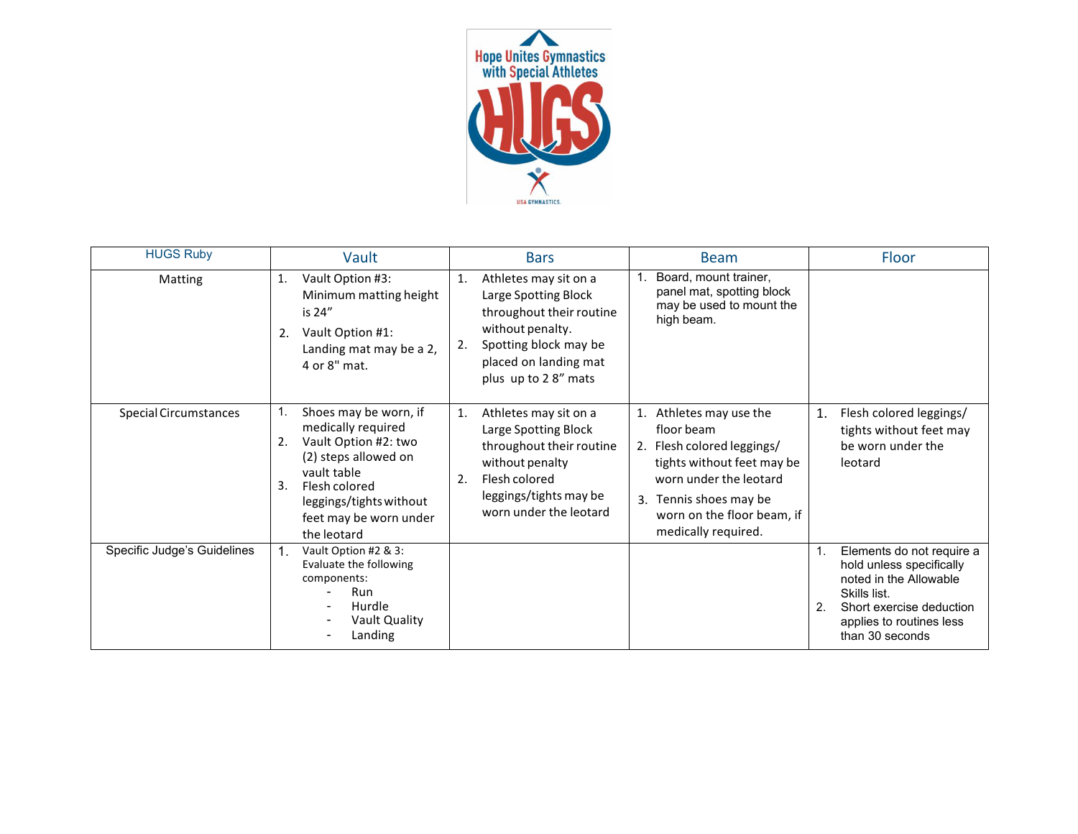

| <b>HUGS Ruby</b>             | Vault                                                                                                                                                                                                       | <b>Bars</b>                                                                                                                                                                        | <b>Beam</b>                                                                                                                                                                                             | Floor                                                                                                                                                                                              |
|------------------------------|-------------------------------------------------------------------------------------------------------------------------------------------------------------------------------------------------------------|------------------------------------------------------------------------------------------------------------------------------------------------------------------------------------|---------------------------------------------------------------------------------------------------------------------------------------------------------------------------------------------------------|----------------------------------------------------------------------------------------------------------------------------------------------------------------------------------------------------|
| Matting                      | Vault Option #3:<br>1.<br>Minimum matting height<br>is 24"<br>Vault Option #1:<br>2.<br>Landing mat may be a 2,<br>4 or 8" mat.                                                                             | Athletes may sit on a<br>1.<br>Large Spotting Block<br>throughout their routine<br>without penalty.<br>Spotting block may be<br>2.<br>placed on landing mat<br>plus up to 28" mats | Board, mount trainer,<br>panel mat, spotting block<br>may be used to mount the<br>high beam.                                                                                                            |                                                                                                                                                                                                    |
| <b>Special Circumstances</b> | Shoes may be worn, if<br>medically required<br>Vault Option #2: two<br>2.<br>(2) steps allowed on<br>vault table<br>3.<br>Flesh colored<br>leggings/tights without<br>feet may be worn under<br>the leotard | 1.<br>Athletes may sit on a<br>Large Spotting Block<br>throughout their routine<br>without penalty<br>Flesh colored<br>2.<br>leggings/tights may be<br>worn under the leotard      | Athletes may use the<br>floor beam<br>2. Flesh colored leggings/<br>tights without feet may be<br>worn under the leotard<br>3. Tennis shoes may be<br>worn on the floor beam, if<br>medically required. | Flesh colored leggings/<br>1.<br>tights without feet may<br>be worn under the<br>leotard                                                                                                           |
| Specific Judge's Guidelines  | Vault Option #2 & 3:<br>Evaluate the following<br>components:<br>Run<br>Hurdle<br>Vault Quality<br>Landing                                                                                                  |                                                                                                                                                                                    |                                                                                                                                                                                                         | Elements do not require a<br>1.<br>hold unless specifically<br>noted in the Allowable<br>Skills list.<br>$\overline{2}$<br>Short exercise deduction<br>applies to routines less<br>than 30 seconds |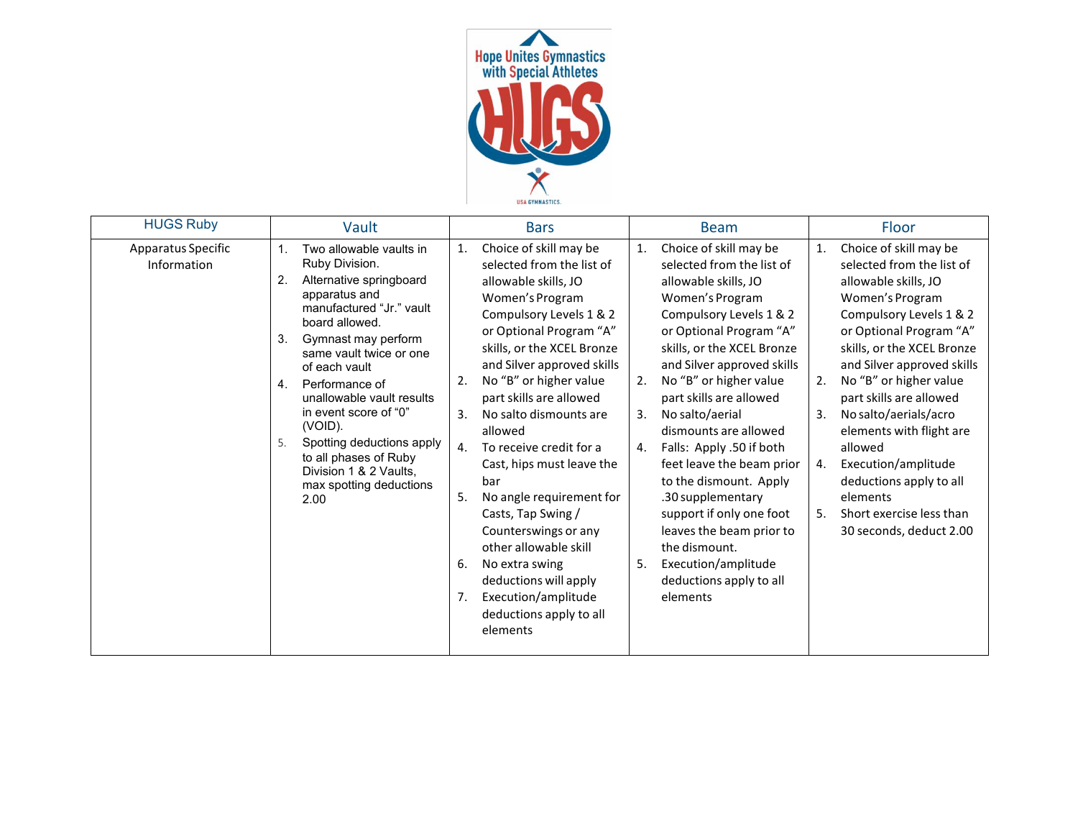

| <b>HUGS Ruby</b>                  | Vault                                                                                                                                                                                                                                                                                                                                                                                                                                | <b>Bars</b>                                                                                                                                                                                                                                                                                                                                                                                                                                                                                                                                                                                                                     | <b>Beam</b>                                                                                                                                                                                                                                                                                                                                                                                                                                                                                                                                                                                    | Floor                                                                                                                                                                                                                                                                                                                                                                                                                                                                                    |
|-----------------------------------|--------------------------------------------------------------------------------------------------------------------------------------------------------------------------------------------------------------------------------------------------------------------------------------------------------------------------------------------------------------------------------------------------------------------------------------|---------------------------------------------------------------------------------------------------------------------------------------------------------------------------------------------------------------------------------------------------------------------------------------------------------------------------------------------------------------------------------------------------------------------------------------------------------------------------------------------------------------------------------------------------------------------------------------------------------------------------------|------------------------------------------------------------------------------------------------------------------------------------------------------------------------------------------------------------------------------------------------------------------------------------------------------------------------------------------------------------------------------------------------------------------------------------------------------------------------------------------------------------------------------------------------------------------------------------------------|------------------------------------------------------------------------------------------------------------------------------------------------------------------------------------------------------------------------------------------------------------------------------------------------------------------------------------------------------------------------------------------------------------------------------------------------------------------------------------------|
| Apparatus Specific<br>Information | Two allowable vaults in<br>Ruby Division.<br>2.<br>Alternative springboard<br>apparatus and<br>manufactured "Jr." vault<br>board allowed.<br>Gymnast may perform<br>3.<br>same vault twice or one<br>of each vault<br>Performance of<br>4.<br>unallowable vault results<br>in event score of "0"<br>(VOID).<br>Spotting deductions apply<br>5.<br>to all phases of Ruby<br>Division 1 & 2 Vaults,<br>max spotting deductions<br>2.00 | Choice of skill may be<br>1.<br>selected from the list of<br>allowable skills, JO<br>Women's Program<br>Compulsory Levels 1 & 2<br>or Optional Program "A"<br>skills, or the XCEL Bronze<br>and Silver approved skills<br>No "B" or higher value<br>2.<br>part skills are allowed<br>3.<br>No salto dismounts are<br>allowed<br>4.<br>To receive credit for a<br>Cast, hips must leave the<br>bar<br>5.<br>No angle requirement for<br>Casts, Tap Swing /<br>Counterswings or any<br>other allowable skill<br>6.<br>No extra swing<br>deductions will apply<br>Execution/amplitude<br>7.<br>deductions apply to all<br>elements | Choice of skill may be<br>1.<br>selected from the list of<br>allowable skills, JO<br>Women's Program<br>Compulsory Levels 1 & 2<br>or Optional Program "A"<br>skills, or the XCEL Bronze<br>and Silver approved skills<br>No "B" or higher value<br>2.<br>part skills are allowed<br>No salto/aerial<br>3.<br>dismounts are allowed<br>Falls: Apply .50 if both<br>4.<br>feet leave the beam prior<br>to the dismount. Apply<br>.30 supplementary<br>support if only one foot<br>leaves the beam prior to<br>the dismount.<br>Execution/amplitude<br>5.<br>deductions apply to all<br>elements | Choice of skill may be<br>1.<br>selected from the list of<br>allowable skills, JO<br>Women's Program<br>Compulsory Levels 1 & 2<br>or Optional Program "A"<br>skills, or the XCEL Bronze<br>and Silver approved skills<br>No "B" or higher value<br>2.<br>part skills are allowed<br>No salto/aerials/acro<br>3.<br>elements with flight are<br>allowed<br>Execution/amplitude<br>4.<br>deductions apply to all<br>elements<br>Short exercise less than<br>5.<br>30 seconds, deduct 2.00 |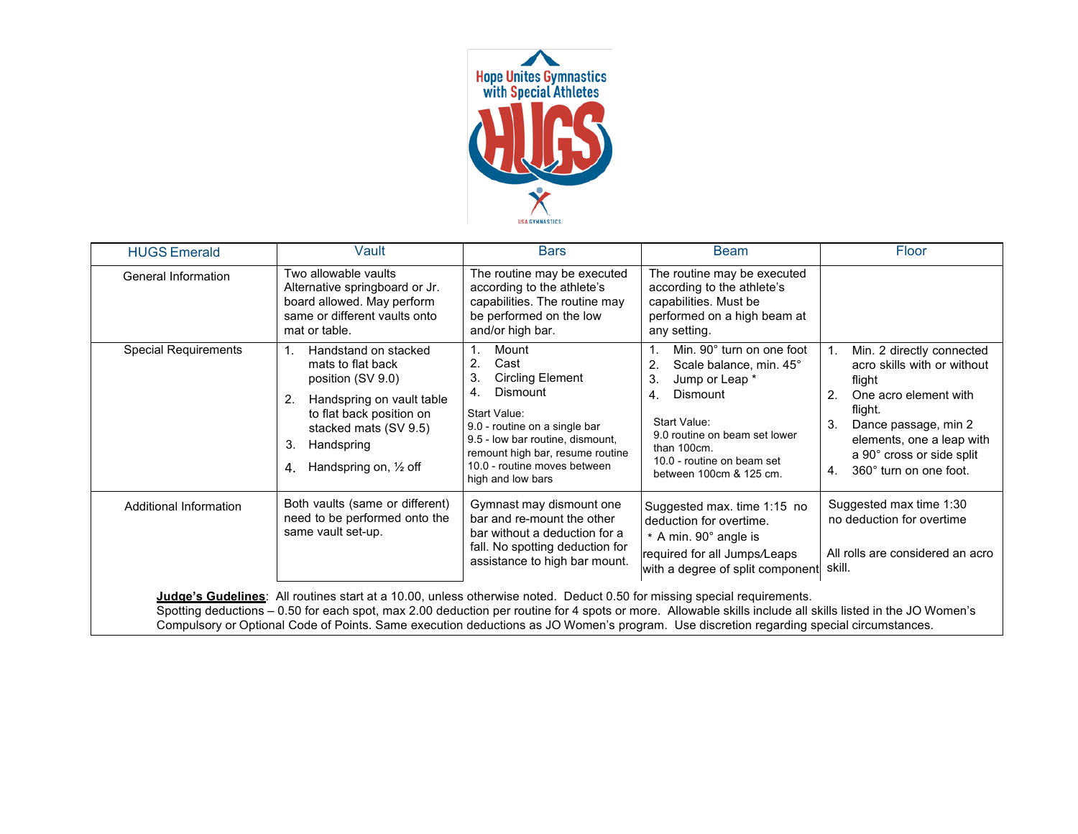

| <b>HUGS Emerald</b>         | Vault                                                                                                                                                                                                                      | <b>Bars</b>                                                                                                                                                                                                                                                    | <b>Beam</b>                                                                                                                                                                                                                             | Floor                                                                                                                                                                                                                                |
|-----------------------------|----------------------------------------------------------------------------------------------------------------------------------------------------------------------------------------------------------------------------|----------------------------------------------------------------------------------------------------------------------------------------------------------------------------------------------------------------------------------------------------------------|-----------------------------------------------------------------------------------------------------------------------------------------------------------------------------------------------------------------------------------------|--------------------------------------------------------------------------------------------------------------------------------------------------------------------------------------------------------------------------------------|
| General Information         | Two allowable vaults<br>Alternative springboard or Jr.<br>board allowed. May perform<br>same or different vaults onto<br>mat or table.                                                                                     | The routine may be executed<br>according to the athlete's<br>capabilities. The routine may<br>be performed on the low<br>and/or high bar.                                                                                                                      | The routine may be executed<br>according to the athlete's<br>capabilities. Must be<br>performed on a high beam at<br>any setting.                                                                                                       |                                                                                                                                                                                                                                      |
| <b>Special Requirements</b> | Handstand on stacked<br>1.<br>mats to flat back<br>position (SV 9.0)<br>Handspring on vault table<br>2.<br>to flat back position on<br>stacked mats (SV 9.5)<br>Handspring<br>3.<br>Handspring on, $\frac{1}{2}$ off<br>4. | Mount<br>$\mathbf{2}$<br>Cast<br>3.<br><b>Circling Element</b><br>Dismount<br>4.<br>Start Value:<br>9.0 - routine on a single bar<br>9.5 - low bar routine, dismount,<br>remount high bar, resume routine<br>10.0 - routine moves between<br>high and low bars | Min. 90° turn on one foot<br>Scale balance, min. 45°<br>2.<br>Jump or Leap *<br>3.<br><b>Dismount</b><br>4.<br>Start Value:<br>9.0 routine on beam set lower<br>than $100cm$ .<br>10.0 - routine on beam set<br>between 100cm & 125 cm. | Min. 2 directly connected<br>acro skills with or without<br>flight<br>One acro element with<br>2.<br>flight.<br>3.<br>Dance passage, min 2<br>elements, one a leap with<br>a 90° cross or side split<br>360° turn on one foot.<br>4. |
| Additional Information      | Both vaults (same or different)<br>need to be performed onto the<br>same vault set-up.                                                                                                                                     | Gymnast may dismount one<br>bar and re-mount the other<br>bar without a deduction for a<br>fall. No spotting deduction for<br>assistance to high bar mount.                                                                                                    | Suggested max. time 1:15 no<br>deduction for overtime.<br>* A min. 90° angle is<br>required for all Jumps/Leaps<br>with a degree of split component                                                                                     | Suggested max time 1:30<br>no deduction for overtime<br>All rolls are considered an acro<br>skill.                                                                                                                                   |

**Judge's Gudelines**: All routines start at a 10.00, unless otherwise noted. Deduct 0.50 for missing special requirements.

Spotting deductions – 0.50 for each spot, max 2.00 deduction per routine for 4 spots or more. Allowable skills include all skills listed in the JO Women's Compulsory or Optional Code of Points. Same execution deductions as JO Women's program. Use discretion regarding special circumstances.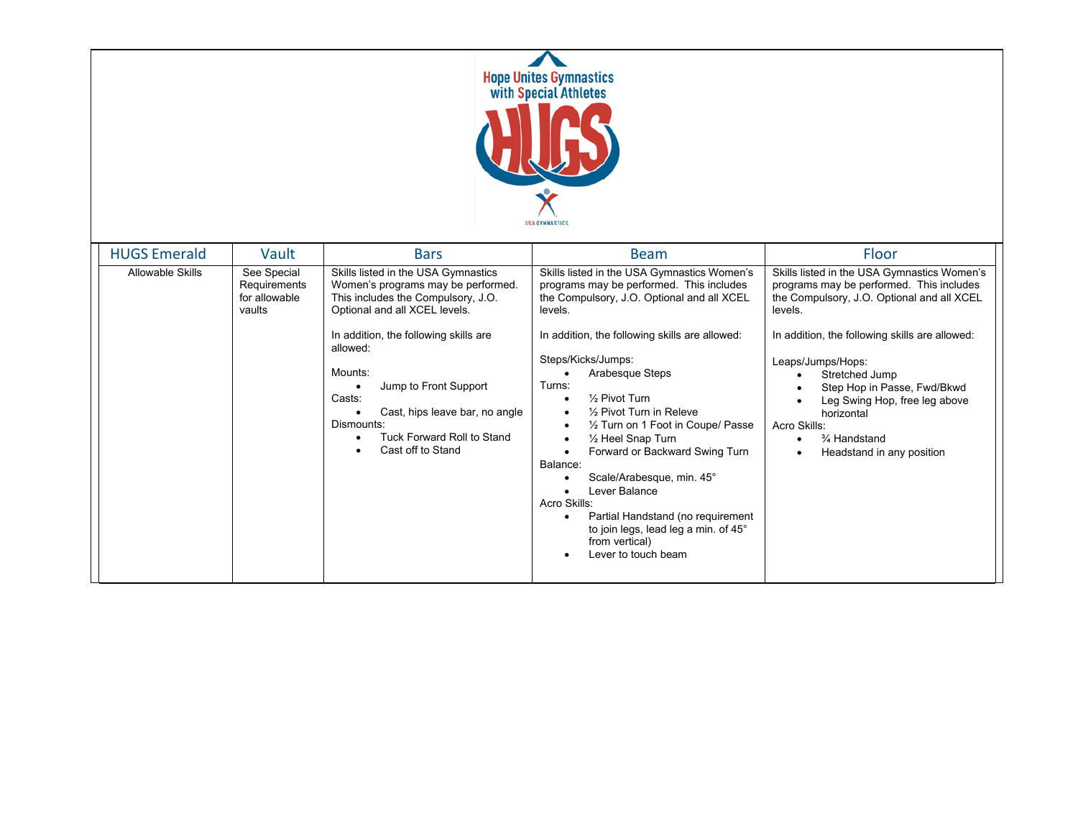